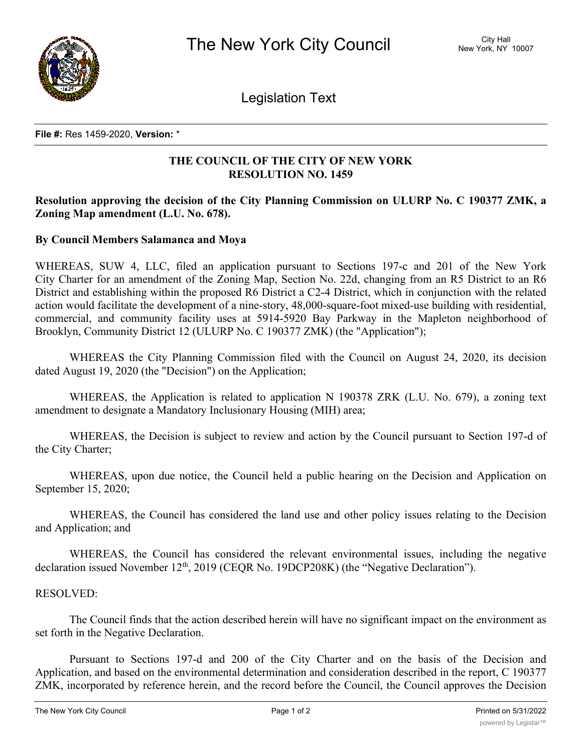

Legislation Text

**File #:** Res 1459-2020, **Version:** \*

# **THE COUNCIL OF THE CITY OF NEW YORK RESOLUTION NO. 1459**

# **Resolution approving the decision of the City Planning Commission on ULURP No. C 190377 ZMK, a Zoning Map amendment (L.U. No. 678).**

## **By Council Members Salamanca and Moya**

WHEREAS, SUW 4, LLC, filed an application pursuant to Sections 197-c and 201 of the New York City Charter for an amendment of the Zoning Map, Section No. 22d, changing from an R5 District to an R6 District and establishing within the proposed R6 District a C2-4 District, which in conjunction with the related action would facilitate the development of a nine-story, 48,000-square-foot mixed-use building with residential, commercial, and community facility uses at 5914-5920 Bay Parkway in the Mapleton neighborhood of Brooklyn, Community District 12 (ULURP No. C 190377 ZMK) (the "Application");

WHEREAS the City Planning Commission filed with the Council on August 24, 2020, its decision dated August 19, 2020 (the "Decision") on the Application;

WHEREAS, the Application is related to application N 190378 ZRK (L.U. No. 679), a zoning text amendment to designate a Mandatory Inclusionary Housing (MIH) area;

WHEREAS, the Decision is subject to review and action by the Council pursuant to Section 197-d of the City Charter;

WHEREAS, upon due notice, the Council held a public hearing on the Decision and Application on September 15, 2020;

WHEREAS, the Council has considered the land use and other policy issues relating to the Decision and Application; and

WHEREAS, the Council has considered the relevant environmental issues, including the negative declaration issued November 12<sup>th</sup>, 2019 (CEQR No. 19DCP208K) (the "Negative Declaration").

### RESOLVED:

The Council finds that the action described herein will have no significant impact on the environment as set forth in the Negative Declaration.

Pursuant to Sections 197-d and 200 of the City Charter and on the basis of the Decision and Application, and based on the environmental determination and consideration described in the report, C 190377 ZMK, incorporated by reference herein, and the record before the Council, the Council approves the Decision